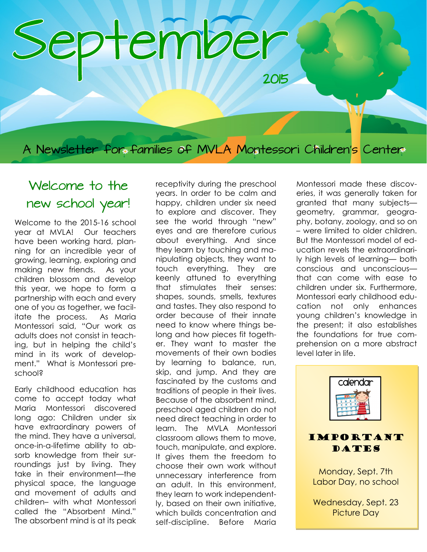# September

A Newsletter for families of MVLA Montessori Children's Center

# Welcome to the new school year!

Welcome to the 2015-16 school year at MVLA! Our teachers have been working hard, planning for an incredible year of growing, learning, exploring and making new friends. As your children blossom and develop this year, we hope to form a partnership with each and every one of you as together, we facilitate the process. As Maria Montessori said, "Our work as adults does not consist in teaching, but in helping the child's mind in its work of development." What is Montessori preschool?

Early childhood education has come to accept today what Maria Montessori discovered long ago: Children under six have extraordinary powers of the mind. They have a universal, once-in-a-lifetime ability to absorb knowledge from their surroundings just by living. They take in their environment—the physical space, the language and movement of adults and children– with what Montessori called the "Absorbent Mind." The absorbent mind is at its peak receptivity during the preschool years. In order to be calm and happy, children under six need to explore and discover. They see the world through "new" eyes and are therefore curious about everything. And since they learn by touching and manipulating objects, they want to touch everything. They are keenly attuned to everything that stimulates their senses: shapes, sounds, smells, textures and tastes. They also respond to order because of their innate need to know where things belong and how pieces fit together. They want to master the movements of their own bodies by learning to balance, run, skip, and jump. And they are fascinated by the customs and traditions of people in their lives. Because of the absorbent mind, preschool aged children do not need direct teaching in order to learn. The MVLA Montessori classroom allows them to move, touch, manipulate, and explore. It gives them the freedom to choose their own work without unnecessary interference from an adult. In this environment, they learn to work independently, based on their own initiative, which builds concentration and self-discipline. Before Maria Montessori made these discoveries, it was generally taken for granted that many subjects geometry, grammar, geography, botany, zoology, and so on – were limited to older children. But the Montessori model of education revels the extraordinarily high levels of learning— both conscious and unconscious that can come with ease to children under six. Furthermore, Montessori early childhood education not only enhances young children's knowledge in the present; it also establishes the foundations for true comprehension on a more abstract level later in life.

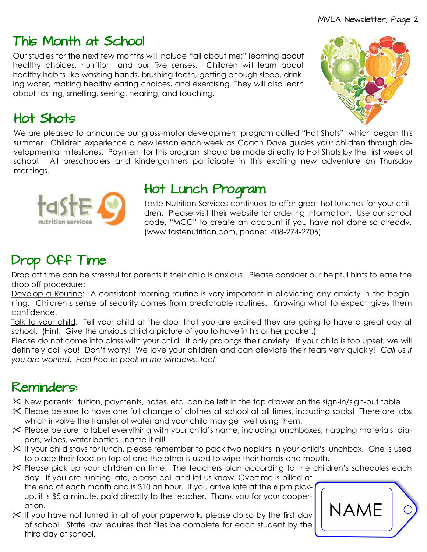# This Month at School

Our studies for the next few months will include "all about me;" learning about healthy choices, nutrition, and our five senses. Children will learn about healthy habits like washing hands, brushing teeth, getting enough sleep, drinking water, making healthy eating choices, and exercising. They will also learn about tasting, smelling, seeing, hearing, and touching.

# Hot Shots

We are pleased to announce our gross-motor development program called "Hot Shots" which began this summer. Children experience a new lesson each week as Coach Dave guides your children through developmental milestones. Payment for this program should be made directly to Hot Shots by the first week of school. All preschoolers and kindergartners participate in this exciting new adventure on Thursday mornings.



# Hot Lunch Program

Taste Nutrition Services continues to offer great hot lunches for your children. Please visit their website for ordering information. Use our school code, "MCC" to create an account if you have not done so already. (www.tastenutrition.com, phone: 408-274-2706)

# Drop Off Time

Drop off time can be stressful for parents if their child is anxious. Please consider our helpful hints to ease the drop off procedure:

Develop a Routine: A consistent morning routine is very important in alleviating any anxiety in the beginning. Children's sense of security comes from predictable routines. Knowing what to expect gives them confidence.

Talk to your child: Tell your child at the door that you are excited they are going to have a great day at school. (Hint: Give the anxious child a picture of you to have in his or her pocket.)

Please do not come into class with your child. It only prolongs their anxiety. If your child is too upset, we will definitely call you! Don't worry! We love your children and can alleviate their fears very quickly! *Call us if you are worried. Feel free to peek in the windows, too!*

# Reminders:

- New parents: tuition, payments, notes, etc. can be left in the top drawer on the sign-in/sign-out table
- Please be sure to have one full change of clothes at school at all times, including socks! There are jobs which involve the transfer of water and your child may get wet using them.
- Please be sure to label everything with your child's name, including lunchboxes, napping materials, diapers, wipes, water bottles...name it all!
- If your child stays for lunch, please remember to pack two napkins in your child's lunchbox. One is used to place their food on top of and the other is used to wipe their hands and mouth.
- $\chi$  Please pick up your children on time. The teachers plan according to the children's schedules each day. If you are running late, please call and let us know. Overtime is billed at

the end of each month and is \$10 an hour. If you arrive late at the 6 pm pickup, it is \$5 a minute, paid directly to the teacher. Thank you for your cooperation.

 $\mathcal X$  If you have not turned in all of your paperwork, please do so by the first day of school. State law requires that files be complete for each student by the third day of school.